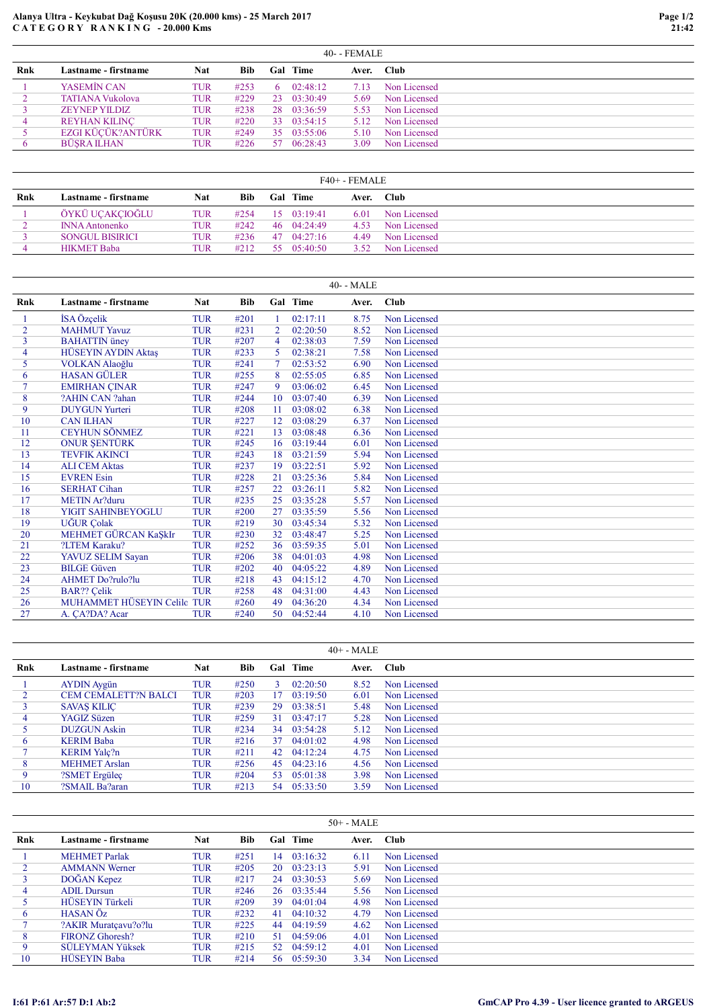## Alanya Ultra - Keykubat Dağ Koşusu 20K (20.000 kms) - 25 March 2017 C A T E G O R Y R A N K I N G - 20.000 Kms

|     |                         | $40 - FEMALE$ |            |     |             |       |              |
|-----|-------------------------|---------------|------------|-----|-------------|-------|--------------|
| Rnk | Lastname - firstname    | <b>Nat</b>    | <b>Bib</b> | Gal | <b>Time</b> | Aver. | <b>Club</b>  |
|     | YASEMÎN CAN             | <b>TUR</b>    | #253       | 6.  | 02:48:12    | 7.13  | Non Licensed |
|     | <b>TATIANA Vukolova</b> | <b>TUR</b>    | #229       | 23  | 03:30:49    | 5.69  | Non Licensed |
|     | <b>ZEYNEP YILDIZ</b>    | TUR           | #238       | 28  | 03:36:59    | 5.53  | Non Licensed |
| 4   | <b>REYHAN KILINC</b>    | <b>TUR</b>    | #220       | 33  | 03:54:15    | 5.12  | Non Licensed |
|     | EZGI KÜCÜK?ANTÜRK       | <b>TUR</b>    | #249       | 35. | 03:55:06    | 5.10  | Non Licensed |
|     | <b>BÜSRA ILHAN</b>      | TUR           | #226       | 57. | 06:28:43    | 3.09  | Non Licensed |

|     | $F40+ - FEMALE$        |     |            |     |                     |       |              |  |  |  |  |  |
|-----|------------------------|-----|------------|-----|---------------------|-------|--------------|--|--|--|--|--|
| Rnk | Lastname - firstname   | Nat | <b>Bib</b> | Gal | Time                | Aver. | - Club       |  |  |  |  |  |
|     | ÖYKÜ UCAKCIOĞLU        | TUR | #2.54      |     | $15 \quad 03:19:41$ | 6.01  | Non Licensed |  |  |  |  |  |
|     | <b>INNA Antonenko</b>  | TUR | #242       | 46  | 04:24:49            | 4.53  | Non Licensed |  |  |  |  |  |
|     | <b>SONGUL BISIRICI</b> | TUR | #236       | 47  | 04:27:16            | 4.49  | Non Licensed |  |  |  |  |  |
|     | <b>HIKMET Baba</b>     | TUR | #212       | 55. | 05:40:50            | 3.52  | Non Licensed |  |  |  |  |  |

|     |                             |            |            |    |                 | 40- - MALE |              |
|-----|-----------------------------|------------|------------|----|-----------------|------------|--------------|
| Rnk | Lastname - firstname        | Nat        | <b>Bib</b> |    | <b>Gal</b> Time | Aver.      | Club         |
|     | İSA Özçelik                 | <b>TUR</b> | #201       |    | 02:17:11        | 8.75       | Non Licensed |
| 2   | <b>MAHMUT Yavuz</b>         | <b>TUR</b> | #231       | 2  | 02:20:50        | 8.52       | Non Licensed |
| 3   | <b>BAHATTIN</b> üney        | <b>TUR</b> | #207       | 4  | 02:38:03        | 7.59       | Non Licensed |
| 4   | <b>HÜSEYIN AYDIN Aktas</b>  | <b>TUR</b> | #233       | 5. | 02:38:21        | 7.58       | Non Licensed |
| 5   | VOLKAN Alaoğlu              | <b>TUR</b> | #241       |    | 02:53:52        | 6.90       | Non Licensed |
| 6   | <b>HASAN GÜLER</b>          | <b>TUR</b> | #255       | 8  | 02:55:05        | 6.85       | Non Licensed |
|     | <b>EMIRHAN ÇINAR</b>        | <b>TUR</b> | #247       | 9  | 03:06:02        | 6.45       | Non Licensed |
| 8   | ?AHIN CAN ?ahan             | <b>TUR</b> | #244       | 10 | 03:07:40        | 6.39       | Non Licensed |
| 9   | <b>DUYGUN Yurteri</b>       | <b>TUR</b> | #208       | 11 | 03:08:02        | 6.38       | Non Licensed |
| 10  | <b>CAN ILHAN</b>            | <b>TUR</b> | #227       | 12 | 03:08:29        | 6.37       | Non Licensed |
| 11  | <b>CEYHUN SÖNMEZ</b>        | <b>TUR</b> | #221       | 13 | 03:08:48        | 6.36       | Non Licensed |
| 12  | <b>ONUR ŞENTÜRK</b>         | <b>TUR</b> | #245       | 16 | 03:19:44        | 6.01       | Non Licensed |
| 13  | <b>TEVFIK AKINCI</b>        | <b>TUR</b> | #243       | 18 | 03:21:59        | 5.94       | Non Licensed |
| 14  | <b>ALI CEM Aktas</b>        | <b>TUR</b> | #237       | 19 | 03:22:51        | 5.92       | Non Licensed |
| 15  | <b>EVREN</b> Esin           | <b>TUR</b> | #228       | 21 | 03:25:36        | 5.84       | Non Licensed |
| 16  | <b>SERHAT Cihan</b>         | <b>TUR</b> | #257       | 22 | 03:26:11        | 5.82       | Non Licensed |
| 17  | <b>METIN Ar?duru</b>        | <b>TUR</b> | #235       | 25 | 03:35:28        | 5.57       | Non Licensed |
| 18  | <b>YIGIT SAHINBEYOGLU</b>   | <b>TUR</b> | #200       | 27 | 03:35:59        | 5.56       | Non Licensed |
| 19  | <b>UĞUR</b> Çolak           | <b>TUR</b> | #219       | 30 | 03:45:34        | 5.32       | Non Licensed |
| 20  | MEHMET GÜRCAN KaŞkIr        | <b>TUR</b> | #230       | 32 | 03:48:47        | 5.25       | Non Licensed |
| 21  | ?LTEM Karaku?               | <b>TUR</b> | #252       | 36 | 03:59:35        | 5.01       | Non Licensed |
| 22  | YAVUZ SELIM Sayan           | <b>TUR</b> | #206       | 38 | 04:01:03        | 4.98       | Non Licensed |
| 23  | <b>BILGE Güven</b>          | <b>TUR</b> | #202       | 40 | 04:05:22        | 4.89       | Non Licensed |
| 24  | <b>AHMET Do?rulo?lu</b>     | <b>TUR</b> | #218       | 43 | 04:15:12        | 4.70       | Non Licensed |
| 25  | <b>BAR??</b> Çelik          | <b>TUR</b> | #258       | 48 | 04:31:00        | 4.43       | Non Licensed |
| 26  | MUHAMMET HÜSEYIN Celilo TUR |            | #260       | 49 | 04:36:20        | 4.34       | Non Licensed |
| 27  | A. CA?DA? Acar              | <b>TUR</b> | #240       | 50 | 04:52:44        | 4.10       | Non Licensed |

|     | $40+ - MALE$                |     |      |     |          |       |              |  |
|-----|-----------------------------|-----|------|-----|----------|-------|--------------|--|
| Rnk | Lastname - firstname        | Nat | Bib  | Gal | Time     | Aver. | <b>Club</b>  |  |
|     | <b>AYDIN</b> Aygün          | TUR | #250 |     | 02:20:50 | 8.52  | Non Licensed |  |
|     | <b>CEM CEMALETT?N BALCI</b> | TUR | #203 | 17. | 03:19:50 | 6.01  | Non Licensed |  |
|     | <b>SAVAS KILIC</b>          | TUR | #239 | 29  | 03:38:51 | 5.48  | Non Licensed |  |
| 4   | YAGIZ Süzen                 | TUR | #259 | 31  | 03:47:17 | 5.28  | Non Licensed |  |
|     | <b>DUZGUN</b> Askin         | TUR | #234 | 34  | 03:54:28 | 5.12  | Non Licensed |  |
| 6   | <b>KERIM Baba</b>           | TUR | #216 | 37  | 04:01:02 | 4.98  | Non Licensed |  |
|     | <b>KERIM Yalc?n</b>         | TUR | #211 | 42. | 04:12:24 | 4.75  | Non Licensed |  |
| 8   | <b>MEHMET</b> Arslan        | TUR | #256 | 45  | 04:23:16 | 4.56  | Non Licensed |  |
| 9   | ?SMET Ergüleç               | TUR | #204 | 53  | 05:01:38 | 3.98  | Non Licensed |  |
| 10  | ?SMAIL Ba?aran              | TUR | #213 | -54 | 05:33:50 | 3.59  | Non Licensed |  |

|     | $50+ - MALE$           |            |            |     |          |       |              |  |  |  |
|-----|------------------------|------------|------------|-----|----------|-------|--------------|--|--|--|
| Rnk | Lastname - firstname   | <b>Nat</b> | <b>Bib</b> | Gal | Time     | Aver. | Club         |  |  |  |
|     | <b>MEHMET</b> Parlak   | TUR        | #251       | 14  | 03:16:32 | 6.11  | Non Licensed |  |  |  |
|     | <b>AMMANN Werner</b>   | TUR        | #205       | 20  | 03:23:13 | 5.91  | Non Licensed |  |  |  |
| 3   | DOĞAN Kepez            | TUR        | #217       | 24  | 03:30:53 | 5.69  | Non Licensed |  |  |  |
| 4   | <b>ADIL Dursun</b>     | TUR        | #246       | 26  | 03:35:44 | 5.56  | Non Licensed |  |  |  |
|     | HÜSEYIN Türkeli        | TUR        | #209       | 39  | 04:01:04 | 4.98  | Non Licensed |  |  |  |
| 6   | HASAN Öz               | TUR        | #232       | 41  | 04:10:32 | 4.79  | Non Licensed |  |  |  |
|     | ?AKIR Muratçavu?o?lu   | TUR        | #225       | 44  | 04:19:59 | 4.62  | Non Licensed |  |  |  |
| 8   | FIRONZ Ghoresh?        | TUR        | #210       | -51 | 04:59:06 | 4.01  | Non Licensed |  |  |  |
| 9   | <b>SÜLEYMAN Yüksek</b> | TUR        | #215       | 52. | 04:59:12 | 4.01  | Non Licensed |  |  |  |
| 10  | <b>HÜSEYIN Baba</b>    | TUR        | #214       | -56 | 05:59:30 | 3.34  | Non Licensed |  |  |  |